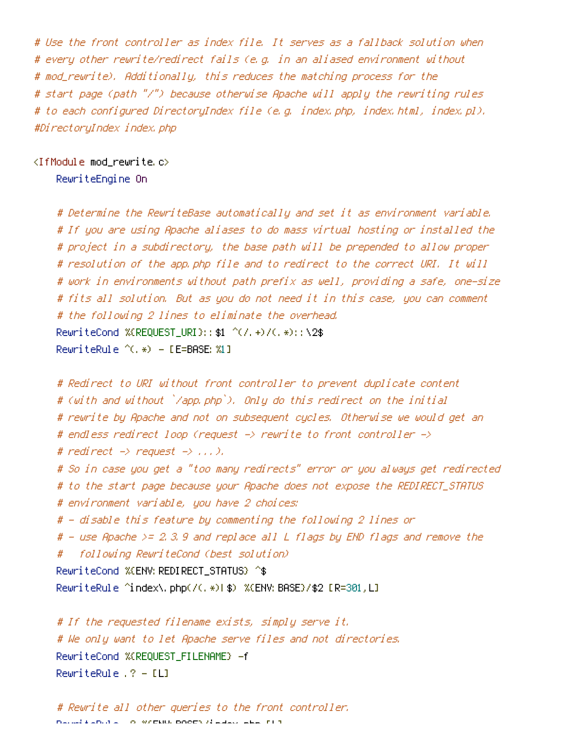# Use the front controller as index file. It serves as <sup>a</sup> fallback solution when # every other rewrite/redirect fails (e.g. in an aliased environment without # mod\_rewrite). Additionally, this reduces the matching process for the # start page (path "/") because otherwise Apache will apply the rewriting rules # to each configured DirectoryIndex file (e.g. index.php, index.html, index.pl). #DirectoryIndex index.php

<IfModule mod\_rewrite.c>

RewriteEngine On

# Determine the RewriteBase automatically and set it as environment variable. # If you are using Apache aliases to do mass virtual hosting or installed the # project in <sup>a</sup> subdirectory, the base path will be prepended to allow proper # resolution of the app.php file and to redirect to the correct URI. It will # work in environments without path prefix as well, providing <sup>a</sup> safe, one-size # fits all solution. But as you do not need it in this case, you can comment # the following 2 lines to eliminate the overhead. RewriteCond %(REQUEST URI}::\$1 ^(/.+)/(.\*)::\2\$ RewriteRule ^(.\*) - [E=BASE:%1]

```
# Redirect to URI without front controller to prevent duplicate content
# (with and without `/app.php`). Only do this redirect on the initial
# rewrite by Apache and not on subsequent cycles. Otherwise we would get an
# endless redirect loop (request -> rewrite to front controller ->
# redirect \rightarrow request \rightarrow \dots \rightarrow.
# So in case you get a "too many redirects" error or you always get redirected
# to the start page because your Apache does not expose the REDIRECT_STATUS
# environment variable, you have 2 choices:
# - disable this feature by commenting the following 2 lines or
# - use Apache >= 2.3.9 and replace all L flags by END flags and remove the
# following RewriteCond (best solution)
RewriteCond %{ENV:REDIRECT_STATUS} ^$
RewriteRule ^index\.php(/(.*)|$) %{ENV:BASE}/$2 [R=301,L]
```
# If the requested filename exists, simply serve it. # We only want to let Apache serve files and not directories. RewriteCond %{REQUEST\_FILENAME} -f RewriteRule .? - [L]

```
# Rewrite all other queries to the front controller.
R_{\text{e}} and k and k . A section R based R and R in R
```